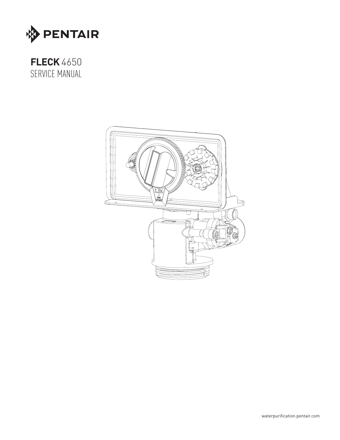

# **FLECK**4650 SERVICE MANUAL

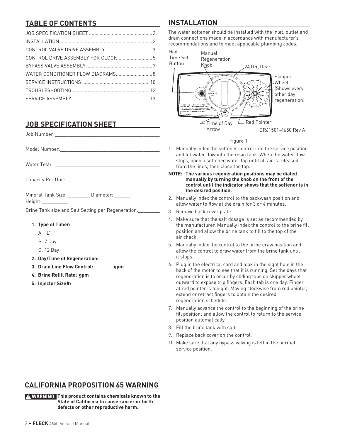# **TABLE OF CONTENTS**

| WATER CONDITIONER FLOW DIAGRAMS 8 |  |
|-----------------------------------|--|
|                                   |  |
|                                   |  |
|                                   |  |

## **JOB SPECIFICATION SHEET**

Job Number:\_\_\_\_\_\_\_\_\_\_\_\_\_\_\_\_\_\_\_\_\_\_\_\_\_\_\_\_\_\_\_\_\_\_\_\_\_\_\_

Model Number: with a set of the set of the set of the set of the set of the set of the set of the set of the set of the set of the set of the set of the set of the set of the set of the set of the set of the set of the set

Water Test:

Capacity Per Unit:\_\_\_\_\_\_\_\_\_\_\_\_\_\_\_\_\_\_\_\_\_\_\_\_\_\_\_\_\_\_\_\_\_\_\_

Mineral Tank Size: **Example 10** Diameter:

Height:\_\_\_\_\_\_\_\_\_\_

Brine Tank size and Salt Setting per Regeneration:\_\_\_\_\_\_\_\_

- **1. Type of Timer:**
	- A. "L"
	- B. 7 Day
	- C. 12 Day
- **2. Day/Time of Regeneration:**
- **3. Drain Line Flow Control: gpm**
- **4. Brine Refill Rate: gpm**
- **5. Injector Size#:**

## **INSTALLATION**

The water softener should be installed with the inlet, outlet and drain connections made in accordance with manufacturer's recommendations and to meet applicable plumbing codes.



### Figure 1

- 1. Manually index the softener control into the service position and let water flow into the resin tank. When the water flow stops, open a softened water tap until all air is released from the lines, then close the tap.
- **NOTE: The various regeneration positions may be dialed manually by turning the knob on the front of the control until the indicator shows that the softener is in the desired position.**
- 2. Manually index the control to the backwash position and allow water to flow at the drain for 3 or 4 minutes.
- 3. Remove back cover plate.
- 4. Make sure that the salt dosage is set as recommended by the manufacturer. Manually index the control to the brine fill position and allow the brine tank to fill to the top of the air check.
- 5. Manually index the control to the brine draw position and allow the control to draw water from the brine tank until it stops.
- 6. Plug in the electrical cord and look in the sight hole in the back of the motor to see that it is running. Set the days that regeneration is to occur by sliding tabs on skipper wheel outward to expose trip fingers. Each tab is one day. Finger at red pointer is tonight. Moving clockwise from red pointer, extend or retract fingers to obtain the desired regeneration schedule.
- 7. Manually advance the control to the beginning of the brine fill position; and allow the control to return to the service position automatically.
- 8. Fill the brine tank with salt.
- 9. Replace back cover on the control.
- 10. Make sure that any bypass valving is left in the normal service position.

## **CALIFORNIA PROPOSITION 65 WARNING**

**WARNING: This product contains chemicals known to the State of California to cause cancer or birth defects or other reproductive harm.**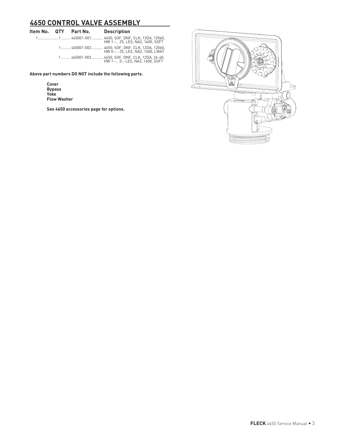## **4650 CONTROL VALVE ASSEMBLY**

|  | ltem No.      QTY       Part No. | <b>Description</b>                                                                   |
|--|----------------------------------|--------------------------------------------------------------------------------------|
|  |                                  | 1 1 465001-001 4650, SOF, DNF, CLK, 12DA, 12060,<br>HW 1--, 25, LES, NA2, 1600, SOFT |
|  |                                  | 1 465001-002 4650, SOF, DNF, CLK, 12DA, 12060,<br>HW 0--, .25, LES, NA2, 1600, LWAT  |
|  |                                  | 1 465001-003 4650, SOF, DNF, CLK, 12DA, 24-60,<br>HW 1--. .5-. LES. NA2. 1600. SOFT  |

**Above part numbers DO NOT include the following parts.** 

**Cover Bypass Yoke Flow Washer**

**See 4650 accessories page for options.**

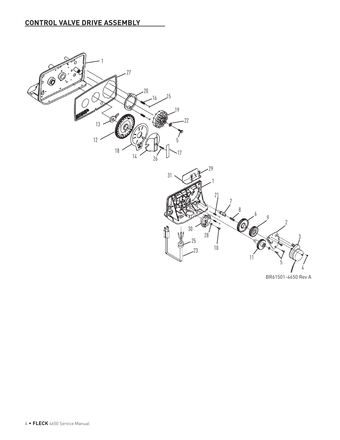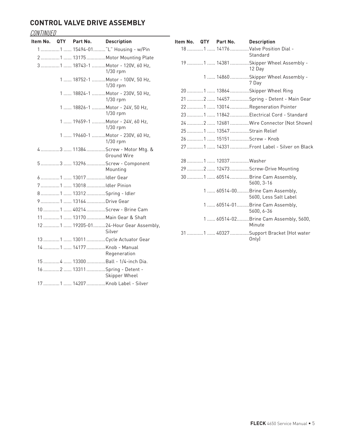## **CONTROL VALVE DRIVE ASSEMBLY**

# CONTINUED

|  | Item No. QTY Part No. | <b>Description</b>                                    |
|--|-----------------------|-------------------------------------------------------|
|  |                       | 1 1  15494-01 "L" Housing - w/Pin                     |
|  |                       | 2 1  13175 Motor Mounting Plate                       |
|  |                       | 31  18743-1 Motor - 120V, 60 Hz,<br>$1/30$ rpm        |
|  |                       | 1  18752-1  Motor - 100V, 50 Hz,<br>1/30 rpm          |
|  |                       | 1  18824-1  Motor - 230V, 50 Hz,<br>1/30 rpm          |
|  |                       | 1  18826-1  Motor - 24V, 50 Hz,<br>1/30 rpm           |
|  |                       | 1  19659-1  Motor - 24V, 60 Hz,<br>$1/30$ rpm         |
|  |                       | 1  19660-1 Motor - 230V, 60 Hz,<br>$1/30$ rpm         |
|  |                       | 4 3  11384 Screw - Motor Mtg. &<br><b>Ground Wire</b> |
|  |                       | 53  13296Screw - Component<br>Mounting                |
|  |                       | 6  1  13017 Idler Gear                                |
|  |                       | 71 13018Idler Pinion                                  |
|  |                       |                                                       |
|  |                       | 9 1  13164 Drive Gear                                 |
|  |                       | 10 1  40214 Screw - Brine Cam                         |
|  |                       | 11  1  13170  Main Gear & Shaft                       |
|  |                       | 121  19205-0124-Hour Gear Assembly,<br>Silver         |
|  |                       |                                                       |
|  |                       | Regeneration                                          |
|  |                       | 15  4  13300  Ball - 1/4-inch Dia.                    |
|  |                       | Skipper Wheel                                         |
|  |                       | 17  1  14207 Knob Label - Silver                      |

|  | Item No. QTY Part No. Description |                                                           |
|--|-----------------------------------|-----------------------------------------------------------|
|  |                                   | 181 14176Valve Position Dial -<br>Standard                |
|  |                                   | 19  1  14381 Skipper Wheel Assembly -<br>12 Day           |
|  |                                   | 1  14860 Skipper Wheel Assembly -<br>7 Day                |
|  |                                   | 20  1  13864 Skipper Wheel Ring                           |
|  |                                   | 21  2  14457 Spring - Detent - Main Gear                  |
|  |                                   | 22  1  13014 Regeneration Pointer                         |
|  |                                   | 23  1  11842  Electrical Cord - Standard                  |
|  |                                   | 24  2  12681 Wire Connector (Not Shown)                   |
|  | 25  1  13547 Strain Relief        |                                                           |
|  |                                   |                                                           |
|  |                                   |                                                           |
|  | 28  1  12037 Washer               |                                                           |
|  |                                   | 29  2  12473 Screw-Drive Mounting                         |
|  |                                   | 30  1  60514 Brine Cam Assembly,<br>5600, 3-16            |
|  |                                   | 1  60514-00  Brine Cam Assembly,<br>5600, Less Salt Label |
|  |                                   | 1  60514-01  Brine Cam Assembly,<br>5600, 6-36            |
|  |                                   | 1  60514-02Brine Cam Assembly, 5600,<br>Minute            |
|  |                                   | 31  1  40327 Support Bracket (Hot water<br>Only)          |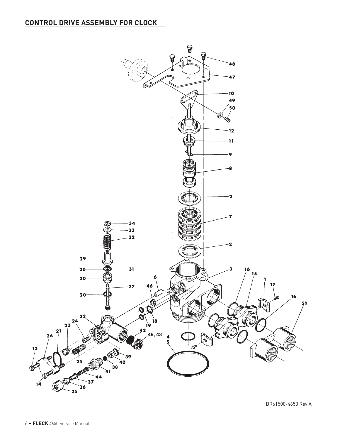## **CONTROL DRIVE ASSEMBLY FOR CLOCK**



BR61500-4650 Rev A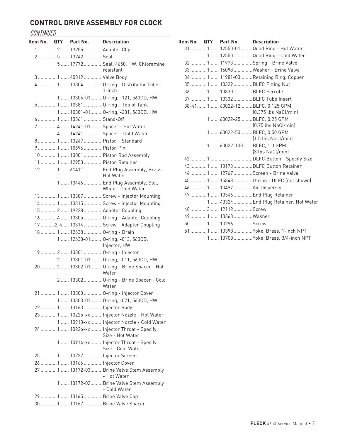## **CONTROL DRIVE ASSEMBLY FOR CLOCK**

### **CONTINUED**

|  | ltem No. QTY Part No.   | <b>Description</b>                                             |
|--|-------------------------|----------------------------------------------------------------|
|  | 12  13255 Adapter Clip  |                                                                |
|  | 25  13242Seal           |                                                                |
|  |                         | 5  17772 Seal, 4650, HW, Chloramine                            |
|  |                         | resistant                                                      |
|  | 3  1  40319  Valve Body |                                                                |
|  |                         | 4  1  13304  O-ring - Distributor Tube -                       |
|  |                         | $1$ -inch                                                      |
|  |                         | 1  13304-01  O-ring, -121, 560CD, HW                           |
|  |                         | 51  10381 O-ring - Top of Tank                                 |
|  |                         | 1  10381-01  O-ring, -231, 560CD, HW                           |
|  |                         |                                                                |
|  |                         | 74  14241-01Spacer - Hot Water                                 |
|  |                         | 4  14241  Spacer - Cold Water                                  |
|  |                         | 8 1  13247  Piston - Standard                                  |
|  | 9  1  10696  Piston Pin |                                                                |
|  |                         |                                                                |
|  |                         | 11  1  12953  Piston Retainer                                  |
|  |                         | <b>Hot Water</b>                                               |
|  |                         | 1  13446  End Plug Assembly, Std.,<br>White - Cold Water       |
|  |                         | 13  1  13387 Screw - Injector Mounting                         |
|  |                         |                                                                |
|  |                         | 15  2  19228  Adapter Coupling                                 |
|  |                         | 16 4  13305  O-ring - Adapter Coupling                         |
|  |                         | 17  2-4  13314 Screw - Adapter Coupling                        |
|  |                         | 18  1  12638  O-ring - Drain                                   |
|  |                         | 1  12638-01  O-ring, -013, 560CD,<br>Injector, HW              |
|  |                         | 19  2  13301  O-ring - Injector                                |
|  |                         | 2  13301-01  O-ring, -011, 560CD, HW                           |
|  |                         | 20  2  13302-01  O-ring - Brine Spacer - Hot<br>Water          |
|  | <b>Example 19 Water</b> | 2  13302  O-ring - Brine Spacer - Cold                         |
|  |                         |                                                                |
|  |                         | 1  13303-01  O-ring, -021, 560CD, HW                           |
|  |                         |                                                                |
|  |                         | 23  1  10225-xx  Injector Nozzle - Hot Water                   |
|  |                         | 1  10913-xx  Injector Nozzle - Cold Water                      |
|  |                         | 24  1  10226-xx  Injector Throat - Specify<br>Size - Hot Water |
|  |                         | 1  10914-xx  Injector Throat - Specify<br>Size - Cold Water    |
|  |                         | 25  1  10227  Injector Screen                                  |
|  |                         |                                                                |
|  |                         | 27  1  13172-03  Brine Valve Stem Assembly<br>- Hot Water      |
|  |                         | 1  13172-02  Brine Valve Stem Assembly<br>- Cold Water         |
|  |                         | 29  1  13165  Brine Valve Cap                                  |
|  |                         | 30  1  13167 Brine Valve Spacer                                |

|  | Item No. QTY Part No. Description |                                                            |
|--|-----------------------------------|------------------------------------------------------------|
|  |                                   | 31  1  12550-01  Quad Ring - Hot Water                     |
|  |                                   | 1  12550 Quad Ring - Cold Water                            |
|  |                                   | 32  1  11973 Spring - Brine Valve                          |
|  |                                   | 33  1  16098 Washer - Brine Valve                          |
|  |                                   | 34 1  11981-03  Retaining Ring, Copper                     |
|  |                                   | 351  10329BLFC Fitting Nut                                 |
|  |                                   |                                                            |
|  |                                   | 37  1  10332  BLFC Tube Insert                             |
|  |                                   | 38-41 1  60022-12 BLFC, 0.125 GPM<br>$[0.375$ lbs NaCl/min |
|  |                                   | 1  60022-25  BLFC, 0.25 GPM<br>(0.75 lbs NaCl/min)         |
|  |                                   | 1  60022-50  BLFC, 0.50 GPM<br>$(1.5$ lbs NaCl/min)        |
|  |                                   | 1  60022-100  BLFC, 1.0 GPM<br>[3 lbs NaCl/min]            |
|  |                                   |                                                            |
|  |                                   |                                                            |
|  |                                   | 44 1  12767 Screen - Brine Valve                           |
|  |                                   | 45  1  15348  O-ring - DLFC (not shown)                    |
|  | 46  1  13497  Air Disperser       |                                                            |
|  |                                   | 47  1  13546  End Plug Retainer                            |
|  |                                   | 1  40324  End Plug Retainer, Hot Water                     |
|  |                                   |                                                            |
|  |                                   |                                                            |
|  | 50  1  13296 Screw                |                                                            |
|  |                                   | 51  1  13398  Yoke, Brass, 1-inch NPT                      |
|  |                                   | 1  13708  Yoke, Brass, 3/4-inch NPT                        |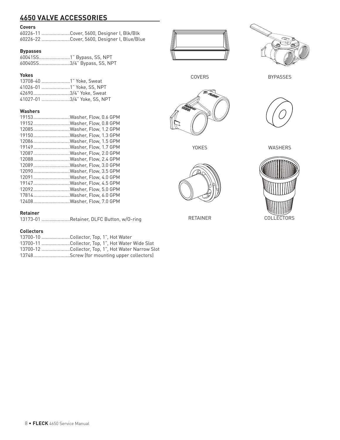## **4650 VALVE ACCESSORIES**

### **Covers**

| 60226-11 Cover, 5600, Designer I, Blk/Blk   |
|---------------------------------------------|
| 60226-22 Cover, 5600, Designer I, Blue/Blue |

### **Bypasses**

60041SS.......................1" Bypass, SS, NPT 60040SS.......................3/4" Bypass, SS, NPT

### **Yokes**

| 13708-40 1" Yoke. Sweat     |
|-----------------------------|
| 41026-01 1" Yoke. SS. NPT   |
| 426903/4" Yoke, Sweat       |
| 41027-01 3/4" Yoke. SS. NPT |

### **Washers**

| 19153Washer, Flow, 0.6 GPM |
|----------------------------|
| 19152Washer, Flow, 0.8 GPM |
| 12085Washer, Flow, 1.2 GPM |
| 19150Washer, Flow, 1.3 GPM |
| 12086Washer, Flow, 1.5 GPM |
| 19149Washer, Flow, 1.7 GPM |
| 12087Washer, Flow, 2.0 GPM |
| 12088Washer, Flow, 2.4 GPM |
| 12089Washer. Flow. 3.0 GPM |
| 12090Washer, Flow, 3.5 GPM |
| 12091Washer, Flow, 4.0 GPM |
| 19147Washer, Flow, 4.5 GPM |
| 12092Washer. Flow. 5.0 GPM |
| 17814Washer. Flow. 6.0 GPM |
| 12408Washer, Flow, 7.0 GPM |
|                            |

#### **Retainer**

13173-01 .....................Retainer, DLFC Button, w/O-ring

### **Collectors**

| 13700-10 Collector, Top, 1", Hot Water             |
|----------------------------------------------------|
| 13700-11 Collector, Top, 1", Hot Water Wide Slot   |
| 13700-12 Collector, Top, 1", Hot Water Narrow Slot |
| 13748Screw (for mounting upper collectors)         |





BYPASSES

COVERS



YOKES



RETAINER

WASHERS

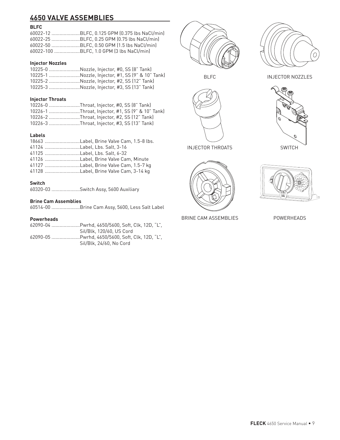## **4650 VALVE ASSEMBLIES**

### **BLFC**

| 60022-12 BLFC, 0.125 GPM (0.375 lbs NaCl/min) |
|-----------------------------------------------|
| 60022-25 BLFC, 0.25 GPM (0.75 lbs NaCl/min)   |
| 60022-50 BLFC, 0.50 GPM (1.5 lbs NaCl/min)    |
| 60022-100 BLFC, 1.0 GPM (3 lbs NaCl/min)      |

### **Injector Nozzles**

| 10225-0 Nozzle, Injector, #0, SS (8" Tank)       |
|--------------------------------------------------|
| 10225-1 Nozzle, Injector, #1, SS (9" & 10" Tank) |
| 10225-2 Nozzle, Injector, #2, SS (12" Tank)      |
| 10225-3 Nozzle, Injector, #3, SS (13" Tank)      |
|                                                  |

### **Injector Throats**

| 10226-0 Throat, Injector, #0, SS (8" Tank)       |
|--------------------------------------------------|
| 10226-1 Throat, Injector, #1, SS (9" & 10" Tank) |
| 10226-2 Throat, Injector, #2, SS (12" Tank)      |
| 10226-3 Throat, Injector, #3, SS (13" Tank)      |
|                                                  |

### **Labels**

| 41124 Label, Lbs. Salt, 3-16           |
|----------------------------------------|
| 41125 Label. Lbs. Salt. 6-32           |
| 41126 Label. Brine Valve Cam. Minute   |
| 41127 Label, Brine Valve Cam, 1.5-7 kg |
| 41128 Label, Brine Valve Cam, 3-14 kg  |
|                                        |

### **Switch**

|  | 60320-03 Switch Assy, 5600 Auxiliary |  |
|--|--------------------------------------|--|
|--|--------------------------------------|--|

### **Brine Cam Assemblies**

60514-00 .....................Brine Cam Assy, 5600, Less Salt Label

### **Powerheads**

| 62090-04 Pwrhd. 4650/5600. Soft. Clk. 12D. "L". |
|-------------------------------------------------|
| Sil/Blk. 120/60. US Cord                        |
| 62090-05 Pwrhd. 4650/5600. Soft. Clk. 12D. "L". |
| Sil/Blk. 24/60. No Cord                         |





BLFC



INJECTOR THROATS



BRINE CAM ASSEMBLIES







POWERHEADS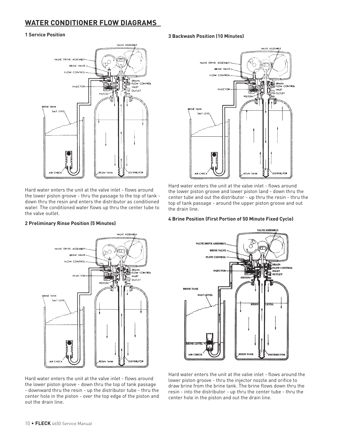## **WATER CONDITIONER FLOW DIAGRAMS**

#### **1 Service Position**



Hard water enters the unit at the valve inlet - flows around the lower piston groove - thru the passage to the top of tank down thru the resin and enters the distributor as conditioned water. The conditioned water flows up thru the center tube to the valve outlet.

# VALVE ASSEMBLY VALVE DRIVE ASSEMBLY ίπ  $\sim$ **RPINE VALVE** FLOW CONTROL DRAIN<br>FLOW CONTROL **INJECTOR**  $\frac{1}{2}$  outlet **RRINE TANK** SALT LEVE **DISTRIBUTOR ANK**

**2 Preliminary Rinse Position (5 Minutes)**

### **3 Backwash Position (10 Minutes)**



Hard water enters the unit at the valve inlet - flows around the lower piston groove and lower piston land - down thru the center tube and out the distributor - up thru the resin - thru the top of tank passage - around the upper piston groove and out the drain line.

#### **4 Brine Position (First Portion of 50 Minute Fixed Cycle)**



Hard water enters the unit at the valve inlet - flows around the lower piston groove - down thru the top of tank passage - downward thru the resin - up the distributor tube - thru the center hole in the piston - over the top edge of the piston and out the drain line.

Hard water enters the unit at the valve inlet - flows around the lower piston groove - thru the injector nozzle and orifice to draw brine from the brine tank. The brine flows down thru the resin - into the distributor - up thru the center tube - thru the center hole in the piston and out the drain line.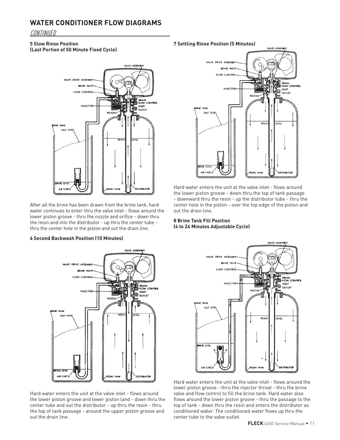### **WATER CONDITIONER FLOW DIAGRAMS**

### CONTINUED

### **5 Slow Rinse Position**

**(Last Portion of 50 Minute Fixed Cycle)**



After all the brine has been drawn from the brine tank, hard water continues to enter thru the valve inlet - flows around the lower piston groove - thru the nozzle and orifice - down thru the resin and into the distributor - up thru the center tube thru the center hole in the piston and out the drain line.

### **6 Second Backwash Position (10 Minutes)**



Hard water enters the unit at the valve inlet - flows around the lower piston groove and lower piston land - down thru the center tube and out the distributor - up thru the resin - thru the top of tank passage - around the upper piston groove and out the drain line.

#### **7 Settling Rinse Position (5 Minutes)**



Hard water enters the unit at the valve inlet - flows around the lower piston groove - down thru the top of tank passage - downward thru the resin - up the distributor tube - thru the center hole in the piston - over the top edge of the piston and out the drain line.

### **8 Brine Tank Fill Position (4 to 24 Minutes Adjustable Cycle)**



Hard water enters the unit at the valve inlet - flows around the lower piston groove - thru the injector throat - thru the brine valve and flow control to fill the brine tank. Hard water also flows around the lower piston groove - thru the passage to the top of tank - down thru the resin and enters the distributor as conditioned water. The conditioned water flows up thru the center tube to the valve outlet.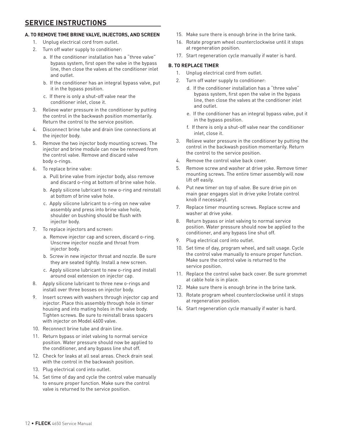### **A. TO REMOVE TIME BRINE VALVE, INJECTORS, AND SCREEN**

- 1. Unplug electrical cord from outlet.
- 2. Turn off water supply to conditioner:
	- a. If the conditioner installation has a "three valve" bypass system, first open the valve in the bypass line, then close the valves at the conditioner inlet and outlet.
	- b. If the conditioner has an integral bypass valve, put it in the bypass position.
	- c. If there is only a shut-off valve near the conditioner inlet, close it.
- 3. Relieve water pressure in the conditioner by putting the control in the backwash position momentarily. Return the control to the service position.
- 4. Disconnect brine tube and drain line connections at the injector body.
- 5. Remove the two injector body mounting screws. The injector and brine module can now be removed from the control valve. Remove and discard valve body o-rings.
- 6. To replace brine valve:
	- a. Pull brine valve from injector body, also remove and discard o-ring at bottom of brine valve hole.
	- b. Apply silicone lubricant to new o-ring and reinstall at bottom of brine valve hole.
	- c. Apply silicone lubricant to o-ring on new valve assembly and press into brine valve hole, shoulder on bushing should be flush with injector body.
- 7. To replace injectors and screen:
	- a. Remove injector cap and screen, discard o-ring. Unscrew injector nozzle and throat from injector body.
	- b. Screw in new injector throat and nozzle. Be sure they are seated tightly. Install a new screen.
	- c. Apply silicone lubricant to new o-ring and install around oval extension on injector cap.
- 8. Apply silicone lubricant to three new o-rings and install over three bosses on injector body.
- 9. Insert screws with washers through injector cap and injector. Place this assembly through hole in timer housing and into mating holes in the valve body. Tighten screws. Be sure to reinstall brass spacers with injector on Model 4600 valve.
- 10. Reconnect brine tube and drain line.
- 11. Return bypass or inlet valving to normal service position. Water pressure should now be applied to the conditioner, and any bypass line shut off.
- 12. Check for leaks at all seal areas. Check drain seal with the control in the backwash position.
- 13. Plug electrical cord into outlet.
- 14. Set time of day and cycle the control valve manually to ensure proper function. Make sure the control valve is returned to the service position.
- 15. Make sure there is enough brine in the brine tank.
- 16. Rotate program wheel counterclockwise until it stops at regeneration position.
- 17. Start regeneration cycle manually if water is hard.

### **B. TO REPLACE TIMER**

- 1. Unplug electrical cord from outlet.
- 2. Turn off water supply to conditioner:
	- d. If the conditioner installation has a "three valve" bypass system, first open the valve in the bypass line, then close the valves at the conditioner inlet and outlet.
	- e. If the conditioner has an integral bypass valve, put it in the bypass position.
	- f. If there is only a shut-off valve near the conditioner inlet, close it.
- 3. Relieve water pressure in the conditioner by putting the control in the backwash position momentarily. Return the control to the service position.
- 4. Remove the control valve back cover.
- 5. Remove screw and washer at drive yoke. Remove timer mounting screws. The entire timer assembly will now lift off easily.
- 6. Put new timer on top of valve. Be sure drive pin on main gear engages slot in drive yoke (rotate control knob if necessary).
- 7. Replace timer mounting screws. Replace screw and washer at drive yoke.
- 8. Return bypass or inlet valving to normal service position. Water pressure should now be applied to the conditioner, and any bypass line shut off.
- 9. Plug electrical cord into outlet.
- 10. Set time of day, program wheel, and salt usage. Cycle the control valve manually to ensure proper function. Make sure the control valve is returned to the service position.
- 11. Replace the control valve back cover. Be sure grommet at cable hole is in place.
- 12. Make sure there is enough brine in the brine tank.
- 13. Rotate program wheel counterclockwise until it stops at regeneration position.
- 14. Start regeneration cycle manually if water is hard.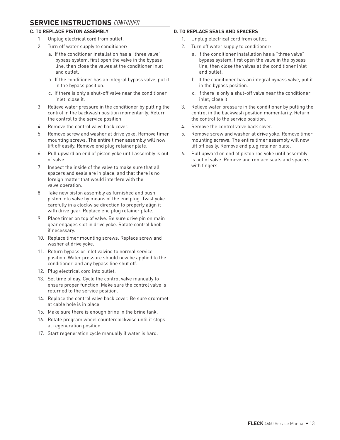### **SERVICE INSTRUCTIONS** CONTINUED

### **C. TO REPLACE PISTON ASSEMBLY**

- 1. Unplug electrical cord from outlet.
- 2. Turn off water supply to conditioner:
	- a. If the conditioner installation has a "three valve" bypass system, first open the valve in the bypass line, then close the valves at the conditioner inlet and outlet.
	- b. If the conditioner has an integral bypass valve, put it in the bypass position.
	- c. If there is only a shut-off valve near the conditioner inlet, close it.
- 3. Relieve water pressure in the conditioner by putting the control in the backwash position momentarily. Return the control to the service position.
- 4. Remove the control valve back cover.
- 5. Remove screw and washer at drive yoke. Remove timer mounting screws. The entire timer assembly will now lift off easily. Remove end plug retainer plate.
- 6. Pull upward on end of piston yoke until assembly is out of valve.
- 7. Inspect the inside of the valve to make sure that all spacers and seals are in place, and that there is no foreign matter that would interfere with the valve operation.
- 8. Take new piston assembly as furnished and push piston into valve by means of the end plug. Twist yoke carefully in a clockwise direction to properly align it with drive gear. Replace end plug retainer plate.
- 9. Place timer on top of valve. Be sure drive pin on main gear engages slot in drive yoke. Rotate control knob if necessary.
- 10. Replace timer mounting screws. Replace screw and washer at drive yoke.
- 11. Return bypass or inlet valving to normal service position. Water pressure should now be applied to the conditioner, and any bypass line shut off.
- 12. Plug electrical cord into outlet.
- 13. Set time of day. Cycle the control valve manually to ensure proper function. Make sure the control valve is returned to the service position.
- 14. Replace the control valve back cover. Be sure grommet at cable hole is in place.
- 15. Make sure there is enough brine in the brine tank.
- 16. Rotate program wheel counterclockwise until it stops at regeneration position.
- 17. Start regeneration cycle manually if water is hard.

### **D. TO REPLACE SEALS AND SPACERS**

- 1. Unplug electrical cord from outlet.
- 2. Turn off water supply to conditioner:
	- a. If the conditioner installation has a "three valve" bypass system, first open the valve in the bypass line, then close the valves at the conditioner inlet and outlet.
	- b. If the conditioner has an integral bypass valve, put it in the bypass position.
	- c. If there is only a shut-off valve near the conditioner inlet, close it.
- 3. Relieve water pressure in the conditioner by putting the control in the backwash position momentarily. Return the control to the service position.
- 4. Remove the control valve back cover.
- 5. Remove screw and washer at drive yoke. Remove timer mounting screws. The entire timer assembly will now lift off easily. Remove end plug retainer plate.
- 6. Pull upward on end of piston rod yoke until assembly is out of valve. Remove and replace seats and spacers with fingers.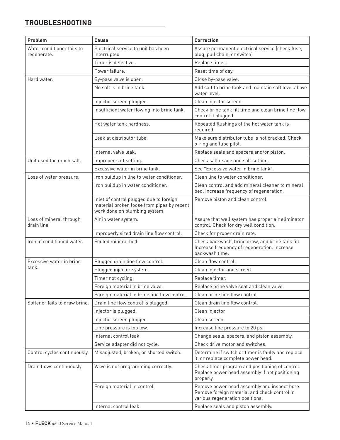## **TROUBLESHOOTING**

| Problem                                   | Cause                                                                                                                  | Correction                                                                                                                      |
|-------------------------------------------|------------------------------------------------------------------------------------------------------------------------|---------------------------------------------------------------------------------------------------------------------------------|
| Water conditioner fails to<br>regenerate. | Electrical service to unit has been<br>interrupted                                                                     | Assure permanent electrical service (check fuse,<br>plug, pull chain, or switch)                                                |
|                                           | Timer is defective.                                                                                                    | Replace timer.                                                                                                                  |
|                                           | Power failure.                                                                                                         | Reset time of day.                                                                                                              |
| Hard water.                               | By-pass valve is open.                                                                                                 | Close by-pass valve.                                                                                                            |
|                                           | No salt is in brine tank.                                                                                              | Add salt to brine tank and maintain salt level above<br>water level.                                                            |
|                                           | Injector screen plugged.                                                                                               | Clean injector screen.                                                                                                          |
|                                           | Insufficient water flowing into brine tank.                                                                            | Check brine tank fill time and clean brine line flow<br>control if plugged.                                                     |
|                                           | Hot water tank hardness.                                                                                               | Repeated flushings of the hot water tank is<br>required.                                                                        |
|                                           | Leak at distributor tube.                                                                                              | Make sure distributor tube is not cracked. Check<br>o-ring and tube pilot.                                                      |
|                                           | Internal valve leak.                                                                                                   | Replace seals and spacers and/or piston.                                                                                        |
| Unit used too much salt.                  | Improper salt setting.                                                                                                 | Check salt usage and salt setting.                                                                                              |
|                                           | Excessive water in brine tank.                                                                                         | See "Excessive water in brine tank".                                                                                            |
| Loss of water pressure.                   | Iron buildup in line to water conditioner.                                                                             | Clean line to water conditioner.                                                                                                |
|                                           | Iron buildup in water conditioner.                                                                                     | Clean control and add mineral cleaner to mineral<br>bed. Increase frequency of regeneration.                                    |
|                                           | Inlet of control plugged due to foreign<br>material broken loose from pipes by recent<br>work done on plumbing system. | Remove piston and clean control.                                                                                                |
| Loss of mineral through<br>drain line.    | Air in water system.                                                                                                   | Assure that well system has proper air eliminator<br>control. Check for dry well condition.                                     |
|                                           | Improperly sized drain line flow control.                                                                              | Check for proper drain rate.                                                                                                    |
| Iron in conditioned water.                | Fouled mineral bed.                                                                                                    | Check backwash, brine draw, and brine tank fill.<br>Increase frequency of regeneration. Increase<br>backwash time.              |
| Excessive water in brine                  | Plugged drain line flow control.                                                                                       | Clean flow control.                                                                                                             |
| tank.                                     | Plugged injector system.                                                                                               | Clean injector and screen.                                                                                                      |
|                                           | Timer not cycling.                                                                                                     | Replace timer.                                                                                                                  |
|                                           | Foreign material in brine valve.                                                                                       | Replace brine valve seat and clean valve.                                                                                       |
|                                           | Foreign material in brine line flow control.                                                                           | Clean brine line flow control.                                                                                                  |
| Softener fails to draw brine.             | Drain line flow control is plugged.                                                                                    | Clean drain line flow control.                                                                                                  |
|                                           | Injector is plugged.                                                                                                   | Clean injector                                                                                                                  |
|                                           | Injector screen plugged.                                                                                               | Clean screen.                                                                                                                   |
|                                           | Line pressure is too low.                                                                                              | Increase line pressure to 20 psi                                                                                                |
|                                           | Internal control leak                                                                                                  | Change seals, spacers, and piston assembly.                                                                                     |
|                                           | Service adapter did not cycle.                                                                                         | Check drive motor and switches.                                                                                                 |
| Control cycles continuously.              | Misadjusted, broken, or shorted switch.                                                                                | Determine if switch or timer is faulty and replace<br>it, or replace complete power head.                                       |
| Drain flows continuously.                 | Valve is not programming correctly.                                                                                    | Check timer program and positioning of control.<br>Replace power head assembly if not positioning<br>properly.                  |
|                                           | Foreign material in control.                                                                                           | Remove power head assembly and inspect bore.<br>Remove foreign material and check control in<br>various regeneration positions. |
|                                           | Internal control leak.                                                                                                 | Replace seals and piston assembly.                                                                                              |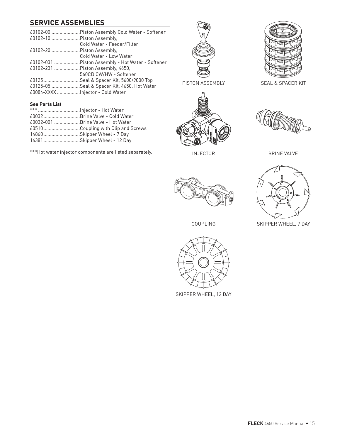## **SERVICE ASSEMBLIES**

|                                  | 60102-00 Piston Assembly Cold Water - Softener    |
|----------------------------------|---------------------------------------------------|
| 60102-10  Piston Assembly.       |                                                   |
|                                  | Cold Water - Feeder/Filter                        |
| 60102-20  Piston Assembly,       |                                                   |
|                                  | Cold Water - Low Water                            |
|                                  | 60102-031  Piston Assembly - Hot Water - Softener |
|                                  | 60102-231  Piston Assembly, 4650.                 |
|                                  | 560CD CW/HW - Softener                            |
|                                  | 60125Seal & Spacer Kit, 5600/9000 Top             |
|                                  | 60125-05 Seal & Spacer Kit, 4650, Hot Water       |
| 60084-XXXX Injector - Cold Water |                                                   |





SEAL & SPACER KIT



INJECTOR



BRINE VALVE



SKIPPER WHEEL, 7 DAY



| 60032 Brine Valve - Cold Water     |
|------------------------------------|
| 60032-001 Brine Valve - Hot Water  |
| 60510Coupling with Clip and Screws |
| 14860Skipper Wheel - 7 Day         |
| 14381Skipper Wheel - 12 Day        |

\*\*\*Hot water injector components are listed separately.



COUPLING



SKIPPER WHEEL, 12 DAY